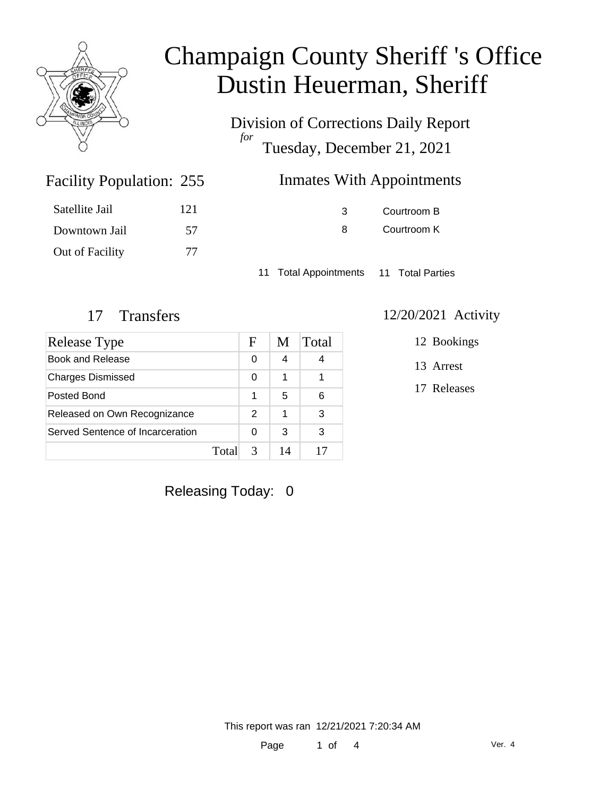

Division of Corrections Daily Report *for* Tuesday, December 21, 2021

| 255 | <b>Inmates With Appointments</b> |
|-----|----------------------------------|
|-----|----------------------------------|

| Satellite Jail  | 121 |
|-----------------|-----|
| Downtown Jail   | 57  |
| Out of Facility | 77  |

Facility Population: 255

3 Courtroom B 8 Courtroom K

11 Total Appointments 11 Total Parties

| Release Type                     |       | F             | M  | Total |
|----------------------------------|-------|---------------|----|-------|
| Book and Release                 |       | 0             | 4  |       |
| <b>Charges Dismissed</b>         |       | 0             | 1  |       |
| Posted Bond                      |       | 1             | 5  | 6     |
| Released on Own Recognizance     |       | $\mathcal{P}$ | 1  | 3     |
| Served Sentence of Incarceration |       | 0             | 3  | 3     |
|                                  | Total |               | 14 |       |

#### 17 Transfers 12/20/2021 Activity

12 Bookings

13 Arrest

17 Releases

Releasing Today: 0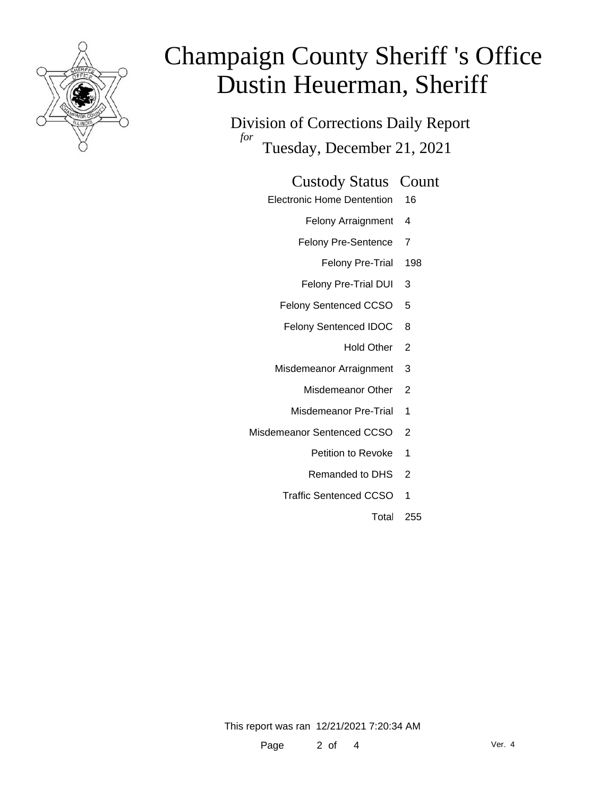

Division of Corrections Daily Report *for* Tuesday, December 21, 2021

#### Custody Status Count

- Electronic Home Dentention 16
	- Felony Arraignment 4
	- Felony Pre-Sentence 7
		- Felony Pre-Trial 198
	- Felony Pre-Trial DUI 3
	- Felony Sentenced CCSO 5
	- Felony Sentenced IDOC 8
		- Hold Other 2
	- Misdemeanor Arraignment 3
		- Misdemeanor Other 2
		- Misdemeanor Pre-Trial 1
- Misdemeanor Sentenced CCSO 2
	- Petition to Revoke 1
	- Remanded to DHS 2
	- Traffic Sentenced CCSO 1
		- Total 255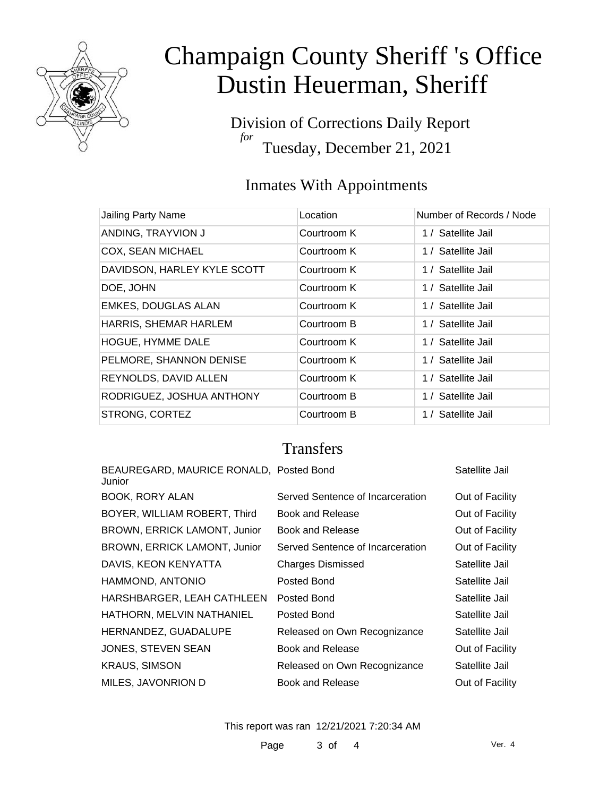

Division of Corrections Daily Report *for* Tuesday, December 21, 2021

### Inmates With Appointments

| Jailing Party Name          | Location    | Number of Records / Node |
|-----------------------------|-------------|--------------------------|
| ANDING, TRAYVION J          | Courtroom K | 1 / Satellite Jail       |
| <b>COX, SEAN MICHAEL</b>    | Courtroom K | 1 / Satellite Jail       |
| DAVIDSON, HARLEY KYLE SCOTT | Courtroom K | 1 / Satellite Jail       |
| DOE, JOHN                   | Courtroom K | 1 / Satellite Jail       |
| <b>EMKES, DOUGLAS ALAN</b>  | Courtroom K | 1 / Satellite Jail       |
| HARRIS, SHEMAR HARLEM       | Courtroom B | 1 / Satellite Jail       |
| HOGUE, HYMME DALE           | Courtroom K | 1 / Satellite Jail       |
| PELMORE, SHANNON DENISE     | Courtroom K | 1 / Satellite Jail       |
| REYNOLDS, DAVID ALLEN       | Courtroom K | 1 / Satellite Jail       |
| RODRIGUEZ, JOSHUA ANTHONY   | Courtroom B | 1 / Satellite Jail       |
| STRONG, CORTEZ              | Courtroom B | 1 / Satellite Jail       |

### **Transfers**

| BEAUREGARD, MAURICE RONALD, Posted Bond<br>Junior |                                  | Satellite Jail  |
|---------------------------------------------------|----------------------------------|-----------------|
| BOOK, RORY ALAN                                   | Served Sentence of Incarceration | Out of Facility |
| BOYER, WILLIAM ROBERT, Third                      | Book and Release                 | Out of Facility |
| <b>BROWN, ERRICK LAMONT, Junior</b>               | Book and Release                 | Out of Facility |
| BROWN, ERRICK LAMONT, Junior                      | Served Sentence of Incarceration | Out of Facility |
| DAVIS, KEON KENYATTA                              | <b>Charges Dismissed</b>         | Satellite Jail  |
| HAMMOND, ANTONIO                                  | Posted Bond                      | Satellite Jail  |
| HARSHBARGER, LEAH CATHLEEN                        | Posted Bond                      | Satellite Jail  |
| HATHORN, MELVIN NATHANIEL                         | Posted Bond                      | Satellite Jail  |
| HERNANDEZ, GUADALUPE                              | Released on Own Recognizance     | Satellite Jail  |
| JONES, STEVEN SEAN                                | Book and Release                 | Out of Facility |
| <b>KRAUS, SIMSON</b>                              | Released on Own Recognizance     | Satellite Jail  |
| MILES, JAVONRION D                                | Book and Release                 | Out of Facility |